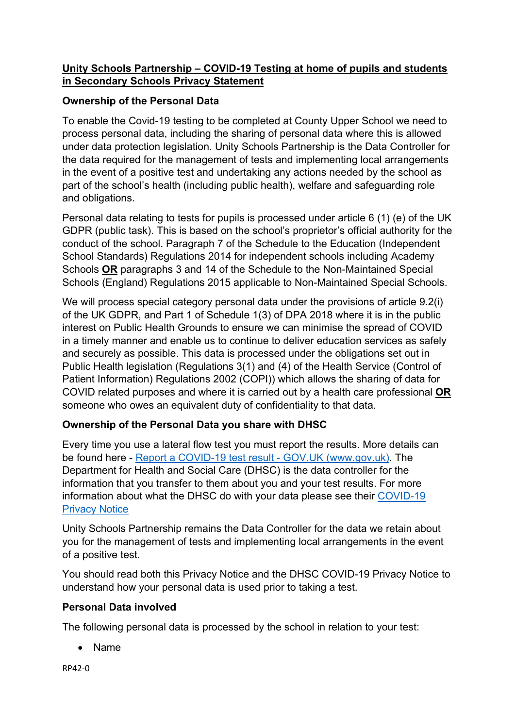# **Unity Schools Partnership – COVID-19 Testing at home of pupils and students in Secondary Schools Privacy Statement**

# **Ownership of the Personal Data**

To enable the Covid-19 testing to be completed at County Upper School we need to process personal data, including the sharing of personal data where this is allowed under data protection legislation. Unity Schools Partnership is the Data Controller for the data required for the management of tests and implementing local arrangements in the event of a positive test and undertaking any actions needed by the school as part of the school's health (including public health), welfare and safeguarding role and obligations.

Personal data relating to tests for pupils is processed under article 6 (1) (e) of the UK GDPR (public task). This is based on the school's proprietor's official authority for the conduct of the school. Paragraph 7 of the Schedule to the Education (Independent School Standards) Regulations 2014 for independent schools including Academy Schools **OR** paragraphs 3 and 14 of the Schedule to the Non-Maintained Special Schools (England) Regulations 2015 applicable to Non-Maintained Special Schools.

We will process special category personal data under the provisions of article 9.2(i) of the UK GDPR, and Part 1 of Schedule 1(3) of DPA 2018 where it is in the public interest on Public Health Grounds to ensure we can minimise the spread of COVID in a timely manner and enable us to continue to deliver education services as safely and securely as possible. This data is processed under the obligations set out in Public Health legislation (Regulations 3(1) and (4) of the Health Service (Control of Patient Information) Regulations 2002 (COPI)) which allows the sharing of data for COVID related purposes and where it is carried out by a health care professional **OR** someone who owes an equivalent duty of confidentiality to that data.

### **Ownership of the Personal Data you share with DHSC**

Every time you use a lateral flow test you must report the results. More details can be found here - Report a COVID-19 test result - GOV.UK (www.gov.uk). The Department for Health and Social Care (DHSC) is the data controller for the information that you transfer to them about you and your test results. For more information about what the DHSC do with your data please see their COVID-19 Privacy Notice

Unity Schools Partnership remains the Data Controller for the data we retain about you for the management of tests and implementing local arrangements in the event of a positive test.

You should read both this Privacy Notice and the DHSC COVID-19 Privacy Notice to understand how your personal data is used prior to taking a test.

### **Personal Data involved**

The following personal data is processed by the school in relation to your test:

Name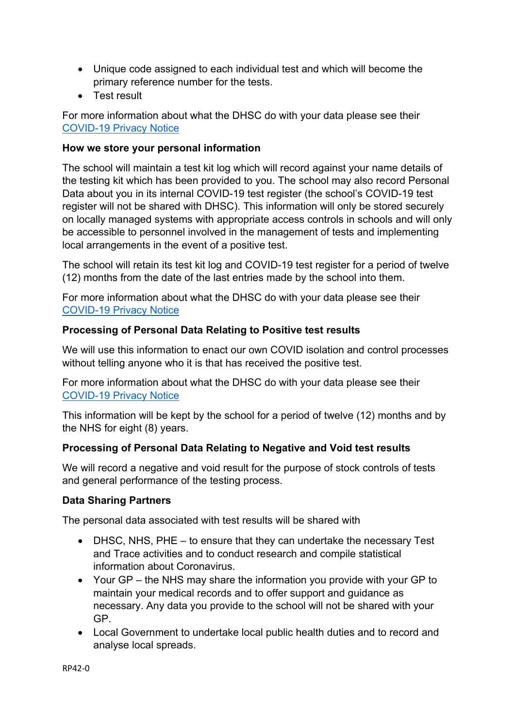- Unique code assigned to each individual test and which will become the primary reference number for the tests.
- **•** Test result

For more information about what the DHSC do with your data please see their COVID-19 Privacy Notice

### **How we store your personal information**

The school will maintain a test kit log which will record against your name details of the testing kit which has been provided to you. The school may also record Personal Data about you in its internal COVID-19 test register (the school's COVID-19 test register will not be shared with DHSC). This information will only be stored securely on locally managed systems with appropriate access controls in schools and will only be accessible to personnel involved in the management of tests and implementing local arrangements in the event of a positive test.

The school will retain its test kit log and COVID-19 test register for a period of twelve (12) months from the date of the last entries made by the school into them.

For more information about what the DHSC do with your data please see their COVID-19 Privacy Notice

### **Processing of Personal Data Relating to Positive test results**

We will use this information to enact our own COVID isolation and control processes without telling anyone who it is that has received the positive test.

For more information about what the DHSC do with your data please see their COVID-19 Privacy Notice

This information will be kept by the school for a period of twelve (12) months and by the NHS for eight (8) years.

### **Processing of Personal Data Relating to Negative and Void test results**

We will record a negative and void result for the purpose of stock controls of tests and general performance of the testing process.

### **Data Sharing Partners**

The personal data associated with test results will be shared with

- DHSC, NHS, PHE to ensure that they can undertake the necessary Test and Trace activities and to conduct research and compile statistical information about Coronavirus.
- Your GP the NHS may share the information you provide with your GP to maintain your medical records and to offer support and guidance as necessary. Any data you provide to the school will not be shared with your GP.
- Local Government to undertake local public health duties and to record and analyse local spreads.